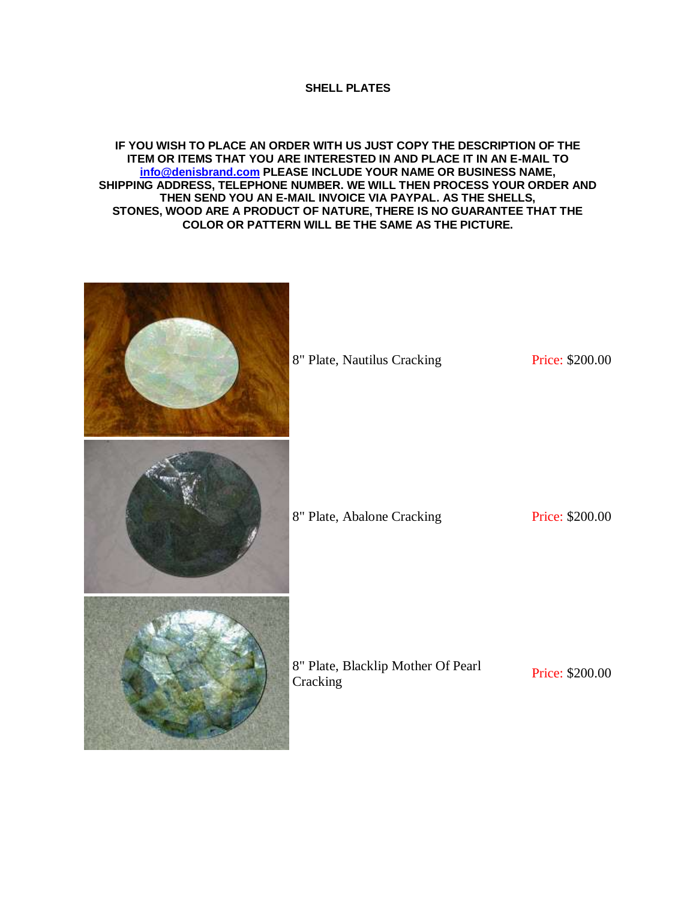## **SHELL PLATES**

## **IF YOU WISH TO PLACE AN ORDER WITH US JUST COPY THE DESCRIPTION OF THE ITEM OR ITEMS THAT YOU ARE INTERESTED IN AND PLACE IT IN AN E-MAIL TO [info@denisbrand.com](mailto:info@denisbrand.com) PLEASE INCLUDE YOUR NAME OR BUSINESS NAME, SHIPPING ADDRESS, TELEPHONE NUMBER. WE WILL THEN PROCESS YOUR ORDER AND THEN SEND YOU AN E-MAIL INVOICE VIA PAYPAL. AS THE SHELLS, STONES, WOOD ARE A PRODUCT OF NATURE, THERE IS NO GUARANTEE THAT THE COLOR OR PATTERN WILL BE THE SAME AS THE PICTURE.**

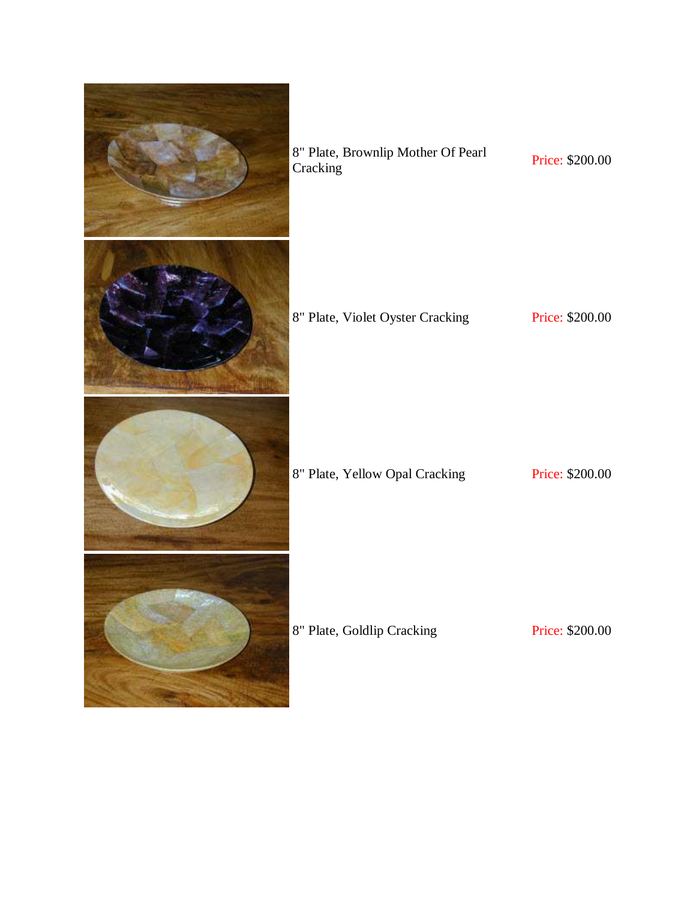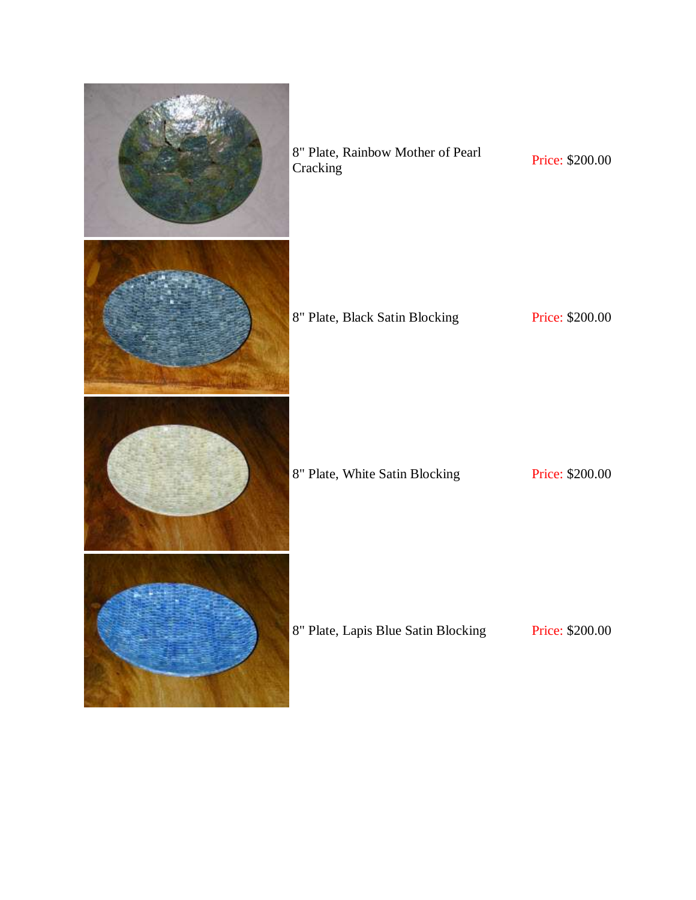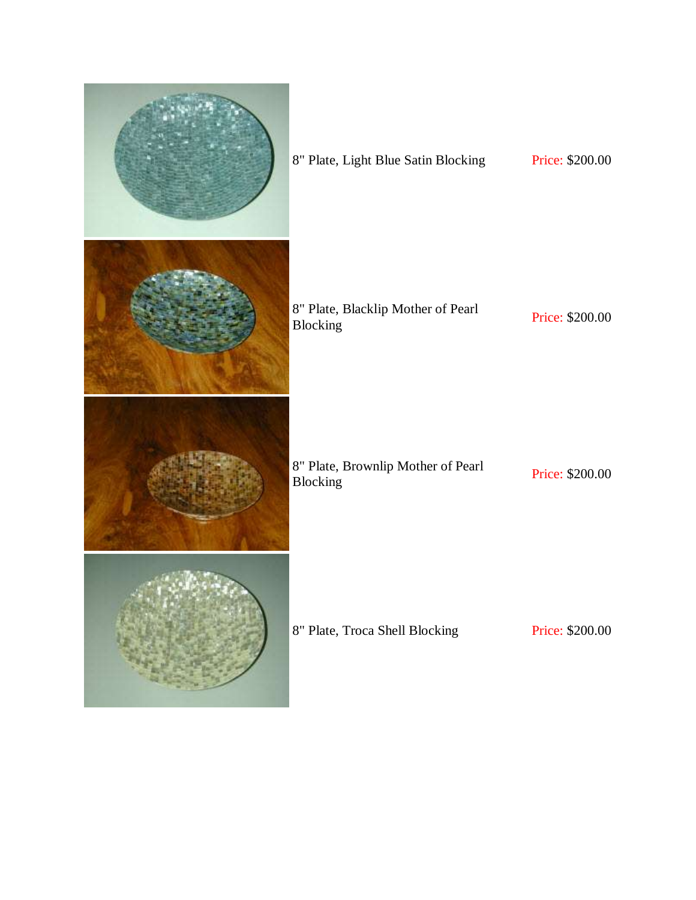